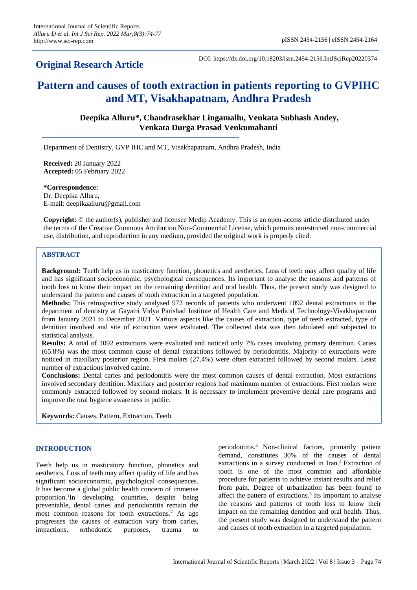## **Original Research Article**

DOI: https://dx.doi.org/10.18203/issn.2454-2156.IntJSciRep20220374

# **Pattern and causes of tooth extraction in patients reporting to GVPIHC and MT, Visakhapatnam, Andhra Pradesh**

**Deepika Alluru\*, Chandrasekhar Lingamallu, Venkata Subhash Andey, Venkata Durga Prasad Venkumahanti**

Department of Dentistry, GVP IHC and MT, Visakhapatnam, Andhra Pradesh, India

**Received:** 20 January 2022 **Accepted:** 05 February 2022

**\*Correspondence:** Dr. Deepika Alluru, E-mail: deepikaalluru@gmail.com

**Copyright:** © the author(s), publisher and licensee Medip Academy. This is an open-access article distributed under the terms of the Creative Commons Attribution Non-Commercial License, which permits unrestricted non-commercial use, distribution, and reproduction in any medium, provided the original work is properly cited.

## **ABSTRACT**

**Background:** Teeth help us in masticatory function, phonetics and aesthetics. Loss of teeth may affect quality of life and has significant socioeconomic, psychological consequences. Its important to analyse the reasons and patterns of tooth loss to know their impact on the remaining dentition and oral health. Thus, the present study was designed to understand the pattern and causes of tooth extraction in a targeted population.

**Methods:** This retrospective study analysed 972 records of patients who underwent 1092 dental extractions in the department of dentistry at Gayatri Vidya Parishad Institute of Health Care and Medical Technology-Visakhapatnam from January 2021 to December 2021. Various aspects like the causes of extraction, type of teeth extracted, type of dentition involved and site of extraction were evaluated. The collected data was then tabulated and subjected to statistical analysis.

**Results:** A total of 1092 extractions were evaluated and noticed only 7% cases involving primary dentition. Caries (65.8%) was the most common cause of dental extractions followed by periodontitis. Majority of extractions were noticed in maxillary posterior region. First molars (27.4%) were often extracted followed by second molars. Least number of extractions involved canine.

**Conclusions:** Dental caries and periodontitis were the most common causes of dental extraction. Most extractions involved secondary dentition. Maxillary and posterior regions had maximum number of extractions. First molars were commonly extracted followed by second molars. It is necessary to implement preventive dental care programs and improve the oral hygiene awareness in public.

**Keywords:** Causes, Pattern, Extraction, Teeth

## **INTRODUCTION**

Teeth help us in masticatory function, phonetics and aesthetics. Loss of teeth may affect quality of life and has significant socioeconomic, psychological consequences. It has become a global public health concern of immense proportion.<sup>1</sup>In developing countries, despite being preventable, dental caries and periodontitis remain the most common reasons for tooth extractions.<sup>2</sup> As age progresses the causes of extraction vary from caries, impactions, orthodontic purposes, trauma to

periodontitis.<sup>3</sup> Non-clinical factors, primarily patient demand, constitutes 30% of the causes of dental extractions in a survey conducted in Iran.<sup>4</sup> Extraction of tooth is one of the most common and affordable procedure for patients to achieve instant results and relief from pain. Degree of urbanization has been found to affect the pattern of extractions.<sup>5</sup> Its important to analyse the reasons and patterns of tooth loss to know their impact on the remaining dentition and oral health. Thus, the present study was designed to understand the pattern and causes of tooth extraction in a targeted population.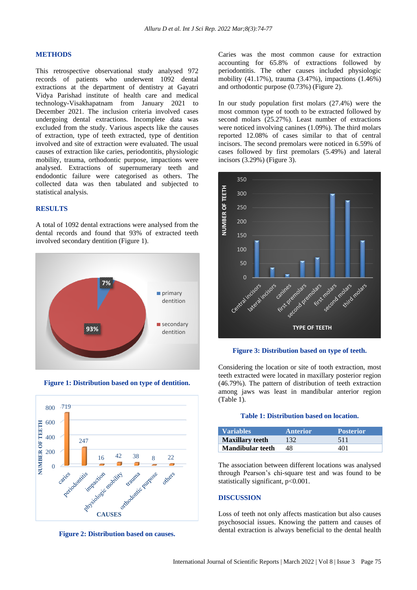## **METHODS**

This retrospective observational study analysed 972 records of patients who underwent 1092 dental extractions at the department of dentistry at Gayatri Vidya Parishad institute of health care and medical technology-Visakhapatnam from January 2021 to December 2021. The inclusion criteria involved cases undergoing dental extractions. Incomplete data was excluded from the study. Various aspects like the causes of extraction, type of teeth extracted, type of dentition involved and site of extraction were evaluated. The usual causes of extraction like caries, periodontitis, physiologic mobility, trauma, orthodontic purpose, impactions were analysed. Extractions of supernumerary teeth and endodontic failure were categorised as others. The collected data was then tabulated and subjected to statistical analysis.

## **RESULTS**

A total of 1092 dental extractions were analysed from the dental records and found that 93% of extracted teeth involved secondary dentition (Figure 1).



**Figure 1: Distribution based on type of dentition.**





Caries was the most common cause for extraction accounting for 65.8% of extractions followed by periodontitis. The other causes included physiologic mobility (41.17%), trauma (3.47%), impactions (1.46%) and orthodontic purpose (0.73%) (Figure 2).

In our study population first molars (27.4%) were the most common type of tooth to be extracted followed by second molars (25.27%). Least number of extractions were noticed involving canines (1.09%). The third molars reported 12.08% of cases similar to that of central incisors. The second premolars were noticed in 6.59% of cases followed by first premolars (5.49%) and lateral incisors (3.29%) (Figure 3).





Considering the location or site of tooth extraction, most teeth extracted were located in maxillary posterior region (46.79%). The pattern of distribution of teeth extraction among jaws was least in mandibular anterior region (Table 1).

#### **Table 1: Distribution based on location.**

| <b>Variables</b>        | <b>Anterior</b> | <b>Posterior</b> |
|-------------------------|-----------------|------------------|
| <b>Maxillary teeth</b>  | 132             | 511              |
| <b>Mandibular teeth</b> | 48              | 401              |

The association between different locations was analysed through Pearson's chi-square test and was found to be statistically significant, p<0.001.

#### **DISCUSSION**

Loss of teeth not only affects mastication but also causes psychosocial issues. Knowing the pattern and causes of dental extraction is always beneficial to the dental health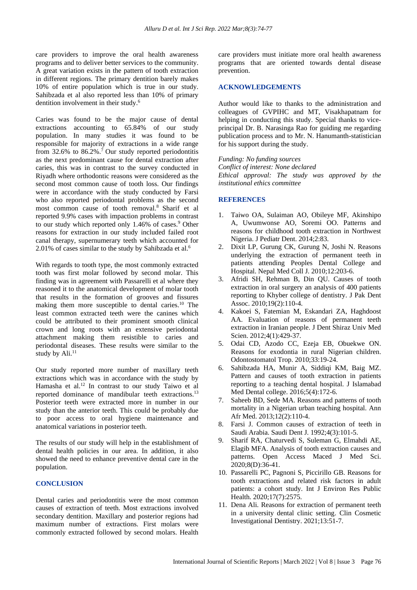care providers to improve the oral health awareness programs and to deliver better services to the community. A great variation exists in the pattern of tooth extraction in different regions. The primary dentition barely makes 10% of entire population which is true in our study. Sahibzada et al also reported less than 10% of primary dentition involvement in their study.<sup>6</sup>

Caries was found to be the major cause of dental extractions accounting to 65.84% of our study population. In many studies it was found to be responsible for majority of extractions in a wide range from 32.6% to  $86.2\%$ .<sup>7</sup> Our study reported periodontitis as the next predominant cause for dental extraction after caries, this was in contrast to the survey conducted in Riyadh where orthodontic reasons were considered as the second most common cause of tooth loss. Our findings were in accordance with the study conducted by Farsi who also reported periodontal problems as the second most common cause of tooth removal.<sup>8</sup> Sharif et al reported 9.9% cases with impaction problems in contrast to our study which reported only  $1.46\%$  of cases.<sup>9</sup> Other reasons for extraction in our study included failed root canal therapy, supernumerary teeth which accounted for 2.01% of cases similar to the study by Sahibzada et al.<sup>6</sup>

With regards to tooth type, the most commonly extracted tooth was first molar followed by second molar. This finding was in agreement with Passarelli et al where they reasoned it to the anatomical development of molar tooth that results in the formation of grooves and fissures making them more susceptible to dental caries.<sup>10</sup> The least common extracted teeth were the canines which could be attributed to their prominent smooth clinical crown and long roots with an extensive periodontal attachment making them resistible to caries and periodontal diseases. These results were similar to the study by Ali.<sup>11</sup>

Our study reported more number of maxillary teeth extractions which was in accordance with the study by Hamasha et al.<sup>12</sup> In contrast to our study Taiwo et al reported dominance of mandibular teeth extractions.<sup>13</sup> Posterior teeth were extracted more in number in our study than the anterior teeth. This could be probably due to poor access to oral hygiene maintenance and anatomical variations in posterior teeth.

The results of our study will help in the establishment of dental health policies in our area. In addition, it also showed the need to enhance preventive dental care in the population.

## **CONCLUSION**

Dental caries and periodontitis were the most common causes of extraction of teeth. Most extractions involved secondary dentition. Maxillary and posterior regions had maximum number of extractions. First molars were commonly extracted followed by second molars. Health care providers must initiate more oral health awareness programs that are oriented towards dental disease prevention.

#### **ACKNOWLEDGEMENTS**

Author would like to thanks to the administration and colleagues of GVPIHC and MT, Visakhapatnam for helping in conducting this study. Special thanks to viceprincipal Dr. B. Narasinga Rao for guiding me regarding publication process and to Mr. N. Hanumanth-statistician for his support during the study.

*Funding: No funding sources Conflict of interest: None declared Ethical approval: The study was approved by the institutional ethics committee*

## **REFERENCES**

- 1. Taiwo OA, Sulaiman AO, Obileye MF, Akinshipo A, Uwumwonse AO, Soremi OO. Patterns and reasons for childhood tooth extraction in Northwest Nigeria. J Pediatr Dent. 2014;2:83.
- 2. Dixit LP, Gurung CK, Gurung N, Joshi N. Reasons underlying the extraction of permanent teeth in patients attending Peoples Dental College and Hospital. Nepal Med Coll J. 2010;12:203-6.
- 3. Afridi SH, Rehman B, Din QU. Causes of tooth extraction in oral surgery an analysis of 400 patients reporting to Khyber college of dentistry. J Pak Dent Assoc. 2010;19(2):110-4.
- 4. Kakoei S, Fatemian M, Eskandari ZA, Haghdoost AA. Evaluation of reasons of permanent teeth extraction in Iranian people. J Dent Shiraz Univ Med Scien. 2012;4(1):429-37.
- 5. Odai CD, Azodo CC, Ezeja EB, Obuekwe ON. Reasons for exodontia in rural Nigerian children. Odontostomatol Trop. 2010;33:19-24.
- 6. Sahibzada HA, Munir A, Siddiqi KM, Baig MZ. Pattern and causes of tooth extraction in patients reporting to a teaching dental hospital. J Islamabad Med Dental college. 2016;5(4):172-6.
- 7. Saheeb BD, Sede MA. Reasons and patterns of tooth mortality in a Nigerian urban teaching hospital. Ann Afr Med. 2013;12(2):110-4.
- 8. Farsi J. Common causes of extraction of teeth in Saudi Arabia. Saudi Dent J. 1992;4(3):101-5.
- 9. Sharif RA, Chaturvedi S, Suleman G, Elmahdi AE, Elagib MFA. Analysis of tooth extraction causes and patterns. Open Access Maced J Med Sci. 2020;8(D):36-41.
- 10. Passarelli PC, Pagnoni S, Piccirillo GB. Reasons for tooth extractions and related risk factors in adult patients: a cohort study. Int J Environ Res Public Health. 2020;17(7):2575.
- 11. Dena Ali. Reasons for extraction of permanent teeth in a university dental clinic setting. Clin Cosmetic Investigational Dentistry. 2021;13:51-7.